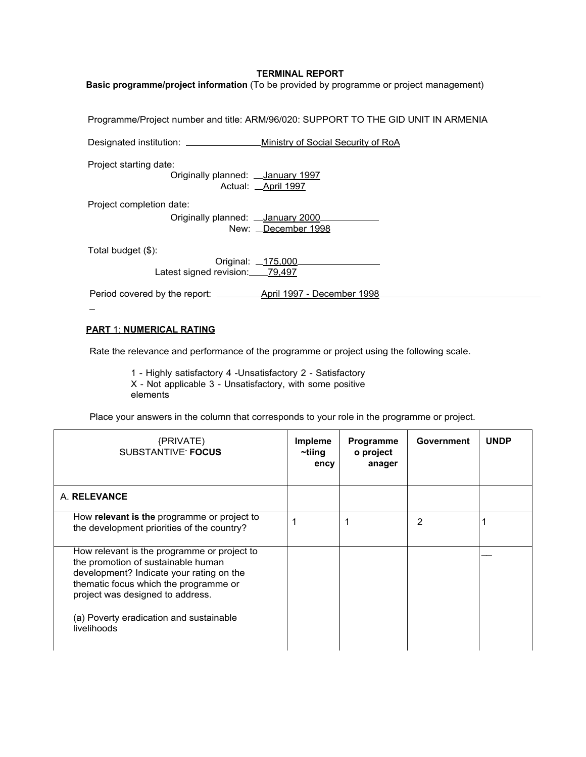## **TERMINAL REPORT**

**Basic programme/project information** (To be provided by programme or project management)

Programme/Project number and title: ARM/96/020: SUPPORT TO THE GID UNIT IN ARMENIA

Designated institution: Ministry of Social Security of RoA

Project starting date:

Originally planned: \_\_ January 1997 Actual: April 1997

Project completion date:

Originally planned: \_\_ January 2000\_ New: \_December 1998

Total budget (\$):

 $\overline{a}$ 

Original: \_175,000 Latest signed revision: 79,497

Period covered by the report: April 1997 - December 1998

## **PART** 1: **NUMERICAL RATING**

Rate the relevance and performance of the programme or project using the following scale.

1 - Highly satisfactory 4 -Unsatisfactory 2 - Satisfactory X - Not applicable 3 - Unsatisfactory, with some positive elements

Place your answers in the column that corresponds to your role in the programme or project.

| {PRIVATE}<br><b>SUBSTANTIVE FOCUS</b>                                                                                                                                                                                                                                | Impleme<br>~tiing<br>ency | Programme<br>o project<br>anager | <b>Government</b> | <b>UNDP</b> |
|----------------------------------------------------------------------------------------------------------------------------------------------------------------------------------------------------------------------------------------------------------------------|---------------------------|----------------------------------|-------------------|-------------|
| A. RELEVANCE                                                                                                                                                                                                                                                         |                           |                                  |                   |             |
| How relevant is the programme or project to<br>the development priorities of the country?                                                                                                                                                                            |                           |                                  | 2                 |             |
| How relevant is the programme or project to<br>the promotion of sustainable human<br>development? Indicate your rating on the<br>thematic focus which the programme or<br>project was designed to address.<br>(a) Poverty eradication and sustainable<br>livelihoods |                           |                                  |                   |             |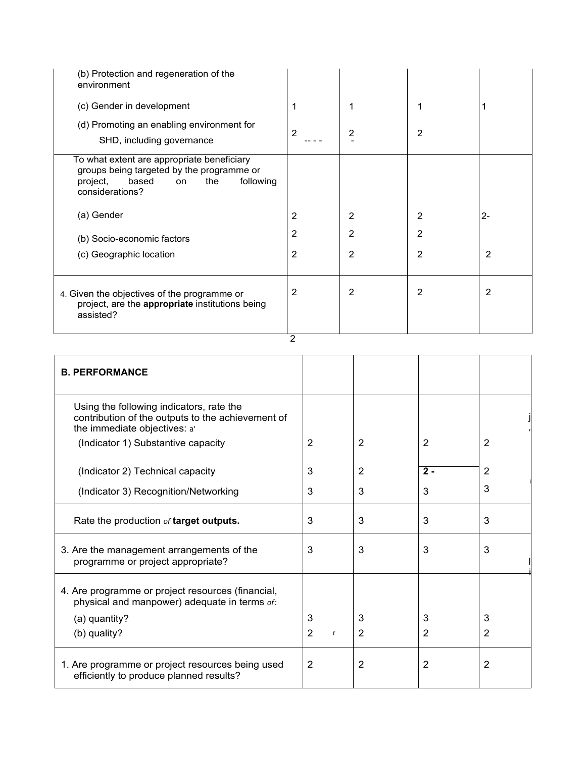| (b) Protection and regeneration of the<br>environment                                                                                                     |                |                |   |                |
|-----------------------------------------------------------------------------------------------------------------------------------------------------------|----------------|----------------|---|----------------|
| (c) Gender in development                                                                                                                                 | 1              |                |   |                |
| (d) Promoting an enabling environment for<br>SHD, including governance                                                                                    | $\overline{2}$ | 2              | 2 |                |
| To what extent are appropriate beneficiary<br>groups being targeted by the programme or<br>following<br>based<br>the<br>project,<br>on<br>considerations? |                |                |   |                |
| (a) Gender                                                                                                                                                | 2              | 2              | 2 | $2 -$          |
| (b) Socio-economic factors                                                                                                                                | 2              | $\overline{2}$ | 2 |                |
| (c) Geographic location                                                                                                                                   | $\overline{2}$ | $\overline{2}$ | 2 | $\overline{2}$ |
| 4. Given the objectives of the programme or<br>project, are the appropriate institutions being<br>assisted?                                               | 2              | 2              | 2 | 2              |

 $\overline{2}$ 

| <b>B. PERFORMANCE</b>                                                                                                         |                                |                |                |   |
|-------------------------------------------------------------------------------------------------------------------------------|--------------------------------|----------------|----------------|---|
| Using the following indicators, rate the<br>contribution of the outputs to the achievement of<br>the immediate objectives: a' |                                |                |                |   |
| (Indicator 1) Substantive capacity                                                                                            | $\overline{2}$                 | $\overline{2}$ | $\overline{2}$ | 2 |
| (Indicator 2) Technical capacity                                                                                              | 3                              | 2              | $2 -$          | 2 |
| (Indicator 3) Recognition/Networking                                                                                          | 3                              | 3              | 3              | 3 |
| Rate the production of target outputs.                                                                                        | 3                              | 3              | 3              | 3 |
| 3. Are the management arrangements of the<br>programme or project appropriate?                                                | 3                              | 3              | 3              | 3 |
| 4. Are programme or project resources (financial,<br>physical and manpower) adequate in terms of:                             |                                |                |                |   |
| (a) quantity?                                                                                                                 | 3                              | 3              | 3              | 3 |
| (b) quality?                                                                                                                  | $\overline{2}$<br>$\mathsf{r}$ | 2              | $\overline{2}$ | 2 |
| 1. Are programme or project resources being used<br>efficiently to produce planned results?                                   | 2                              | $\overline{2}$ | $\overline{2}$ | 2 |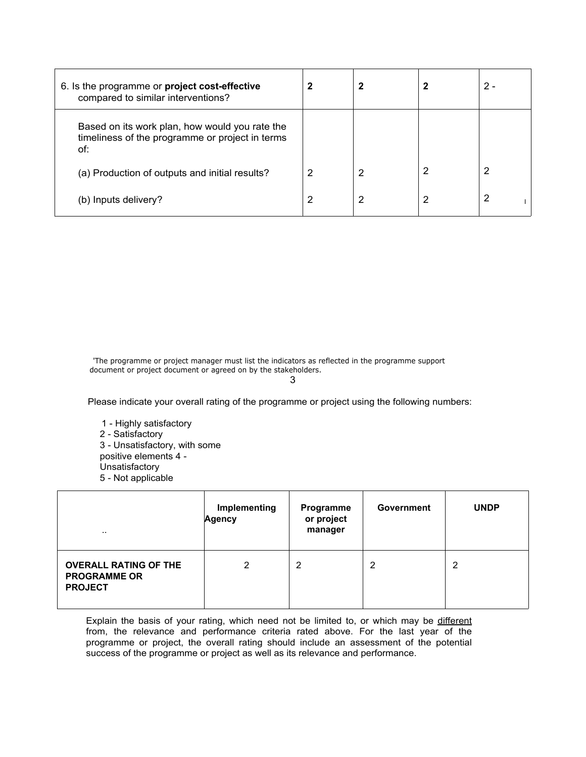| 6. Is the programme or project cost-effective<br>compared to similar interventions?                      |   |   | 2 - |
|----------------------------------------------------------------------------------------------------------|---|---|-----|
| Based on its work plan, how would you rate the<br>timeliness of the programme or project in terms<br>of: |   |   |     |
| (a) Production of outputs and initial results?                                                           | 2 | 2 | 2   |
| (b) Inputs delivery?                                                                                     | 2 | 2 | 2   |

'The programme or project manager must list the indicators as reflected in the programme support document or project document or agreed on by the stakeholders.

3

Please indicate your overall rating of the programme or project using the following numbers:

1 - Highly satisfactory 2 - Satisfactory 3 - Unsatisfactory, with some positive elements 4 - Unsatisfactory 5 - Not applicable

| $\cdot$ .                                                             | Implementing<br><b>Agency</b> | Programme<br>or project<br>manager | Government     | <b>UNDP</b> |
|-----------------------------------------------------------------------|-------------------------------|------------------------------------|----------------|-------------|
| <b>OVERALL RATING OF THE</b><br><b>PROGRAMME OR</b><br><b>PROJECT</b> | 2                             | 2                                  | $\overline{2}$ | っ           |

Explain the basis of your rating, which need not be limited to, or which may be different from, the relevance and performance criteria rated above. For the last year of the programme or project, the overall rating should include an assessment of the potential success of the programme or project as well as its relevance and performance.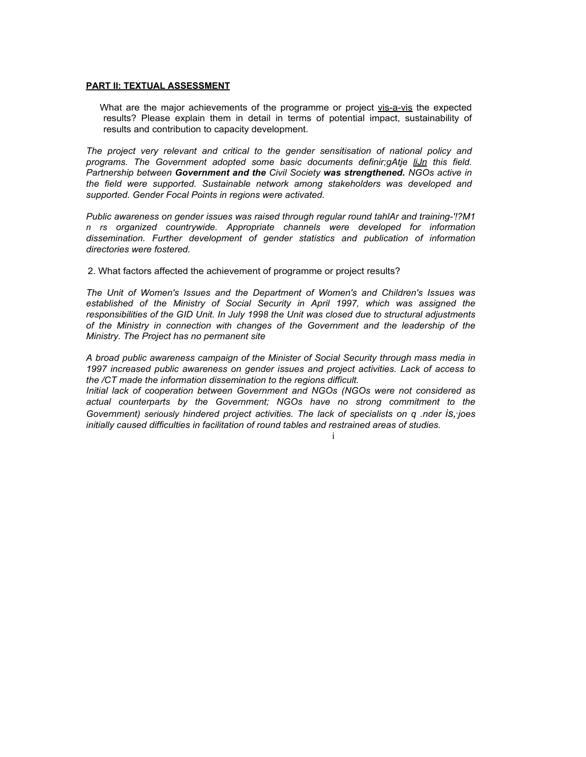#### **PART II: TEXTUAL ASSESSMENT**

What are the major achievements of the programme or project vis-a-vis the expected results? Please explain them in detail in terms of potential impact, sustainability of results and contribution to capacity development.

*The project very relevant and critical to the gender sensitisation of national policy and programs. The Government adopted some basic documents definir;gAtje liJn this field. Partnership between Government and the Civil Society was strengthened. NGOs active in the field were supported. Sustainable network among stakeholders was developed and supported. Gender Focal Points in regions were activated.*

*Public awareness on gender issues was raised through regular round tahlAr and training-'!?M1 n rs organized countrywide. Appropriate channels were developed for information dissemination. Further development of gender statistics and publication of information directories were fostered.*

2. What factors affected the achievement of programme or project results?

*The Unit of Women's Issues and the Department of Women's and Children's Issues was established of the Ministry of Social Security in April 1997, which was assigned the responsibilities of the GID Unit. In July 1998 the Unit was closed due to structural adjustments of the Ministry in connection with changes of the Government and the leadership of the Ministry. The Project has no permanent site*

*A broad public awareness campaign of the Minister of Social Security through mass media in 1997 increased public awareness on gender issues and project activities. Lack of access to the /CT made the information dissemination to the regions difficult.*

*Initial lack of cooperation between Government and NGOs (NGOs were not considered as actual counterparts by the Government; NGOs have no strong commitment to the Government) seriously hindered project activities. The lack of specialists on q .nder is,, joes initially caused difficulties in facilitation of round tables and restrained areas of studies.*

i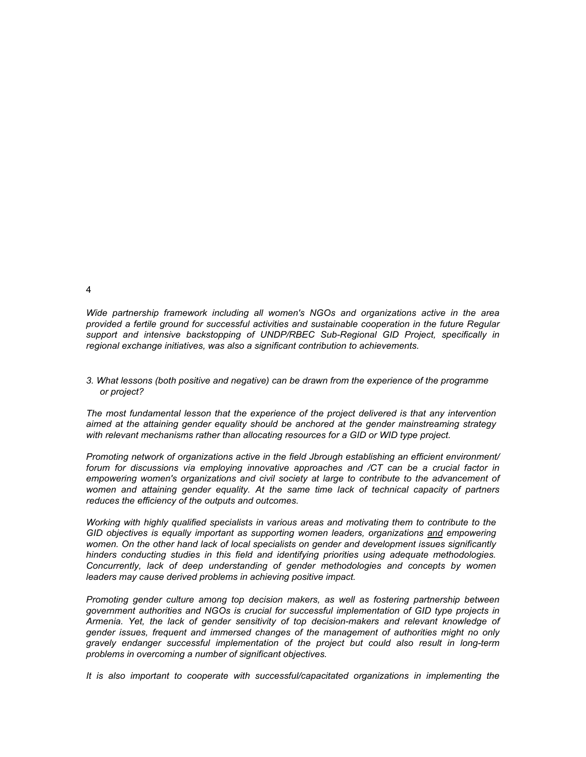*Wide partnership framework including all women's NGOs and organizations active in the area provided a fertile ground for successful activities and sustainable cooperation in the future Regular*

*3. What lessons (both positive and negative) can be drawn from the experience of the programme or project?*

*regional exchange initiatives, was also a significant contribution to achievements.*

*support and intensive backstopping of UNDP/RBEC Sub-Regional GID Project, specifically in*

*The most fundamental lesson that the experience of the project delivered is that any intervention aimed at the attaining gender equality should be anchored at the gender mainstreaming strategy with relevant mechanisms rather than allocating resources for a GID or WID type project.*

*Promoting network of organizations active in the field Jbrough establishing an efficient environment/ forum for discussions via employing innovative approaches and /CT can be a crucial factor in empowering women's organizations and civil society at large to contribute to the advancement of women and attaining gender equality. At the same time lack of technical capacity of partners reduces the efficiency of the outputs and outcomes.*

*Working with highly qualified specialists in various areas and motivating them to contribute to the GID objectives is equally important as supporting women leaders, organizations and empowering women. On the other hand lack of local specialists on gender and development issues significantly hinders conducting studies in this field and identifying priorities using adequate methodologies. Concurrently, lack of deep understanding of gender methodologies and concepts by women leaders may cause derived problems in achieving positive impact.*

*Promoting gender culture among top decision makers, as well as fostering partnership between government authorities and NGOs is crucial for successful implementation of GID type projects in Armenia. Yet, the lack of gender sensitivity of top decision-makers and relevant knowledge of gender issues, frequent and immersed changes of the management of authorities might no only gravely endanger successful implementation of the project but could also result in long-term problems in overcoming a number of significant objectives.*

*It is also important to cooperate with successful/capacitated organizations in implementing the*

4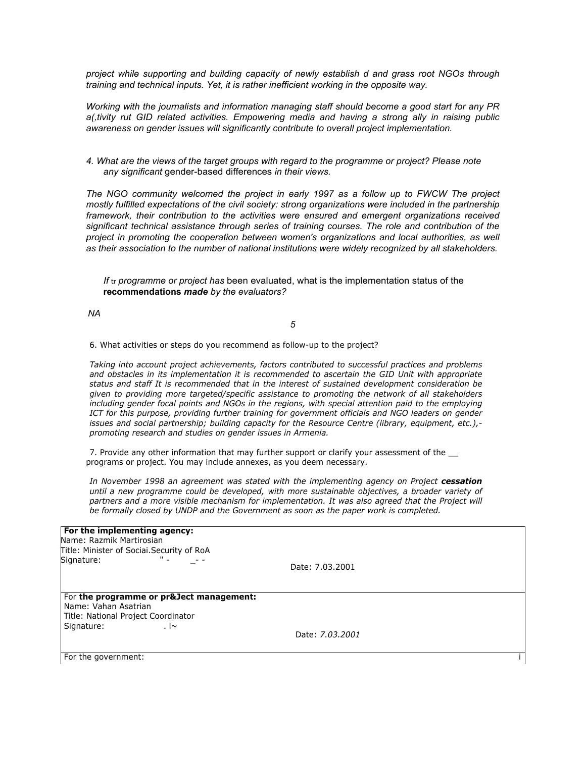*project while supporting and building capacity of newly establish d and grass root NGOs through training and technical inputs. Yet, it is rather inefficient working in the opposite way.*

*Working with the journalists and information managing staff should become a good start for any PR a(,tivity rut GID related activities. Empowering media and having a strong ally in raising public awareness on gender issues will significantly contribute to overall project implementation.*

*4. What are the views of the target groups with regard to the programme or project? Please note any significant* gender-based differences *in their views.*

*The NGO community welcomed the project in early 1997 as a follow up to FWCW The project mostly fulfilled expectations of the civil society: strong organizations were included in the partnership framework, their contribution to the activities were ensured and emergent organizations received significant technical assistance through series of training courses. The role and contribution of the project in promoting the cooperation between women's organizations and local authorities, as well as their association to the number of national institutions were widely recognized by all stakeholders.*

*If* tr *programme or project has* been evaluated, what is the implementation status of the **recommendations** *made by the evaluators?*

*5*

6. What activities or steps do you recommend as follow-up to the project?

*Taking into account project achievements, factors contributed to successful practices and problems and obstacles in its implementation it is recommended to ascertain the GID Unit with appropriate status and staff It is recommended that in the interest of sustained development consideration be given to providing more targeted/specific assistance to promoting the network of all stakeholders including gender focal points and NGOs in the regions, with special attention paid to the employing ICT for this purpose, providing further training for government officials and NGO leaders on gender issues and social partnership; building capacity for the Resource Centre (library, equipment, etc.), promoting research and studies on gender issues in Armenia.*

7. Provide any other information that may further support or clarify your assessment of the programs or project. You may include annexes, as you deem necessary.

*In November 1998 an agreement was stated with the implementing agency on Project cessation until a new programme could be developed, with more sustainable objectives, a broader variety of partners and a more visible mechanism for implementation. It was also agreed that the Project will be formally closed by UNDP and the Government as soon as the paper work is completed.*

## **For the implementing agency:**

Name: Razmik Martirosian Title: Minister of Sociai.Security of RoA Signature: The Signature of the set of the set of the set of the set of the set of the set of the set of the s

Date: 7.03.2001

#### For **the programme or pr&Ject management:** Name: Vahan Asatrian Title: National Project Coordinator Signature: . l~

Date: *7.03.2001*

For the government: in the government of the government of the government of the government of the government of the government of the government of the government of the government of the government of the government of t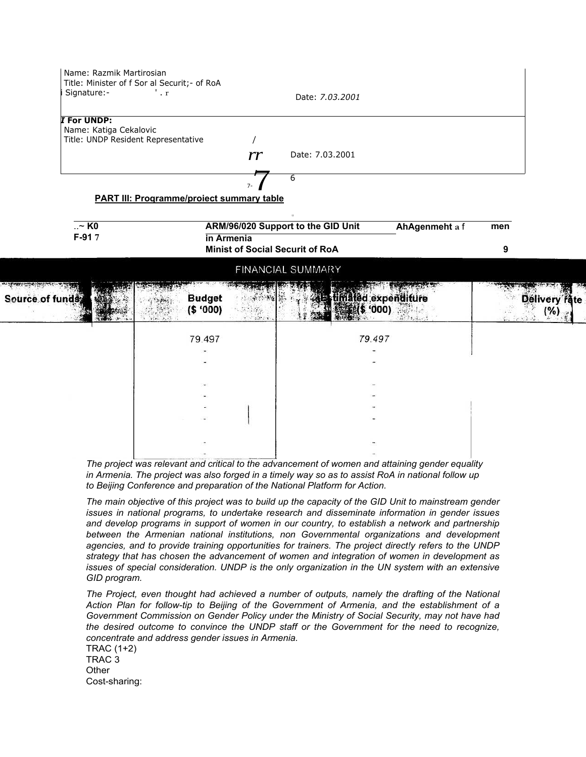Name: Razmik Martirosian Title: Minister of f Sor al Securit;- of RoA Signature:- ' . r <br>Date: *7.03.2001 I* **For UNDP:** Name: Katiga Cekalovic Title: UNDP Resident Representative / *rr* Date: 7.03.2001  $7 - 7$ 6 **PART III: Proqramme/proiect summary table** 11 ..~ **K0 ARM/96/020 Support to the GID Unit AhAgenmeht a** f **men F-91 7 in Armenia Minist of Social Securit of RoA 9 FINANCIAL SUMMARY** Source of fun **Budget**  $-3.148794$ timated expenditure  $\mathbb{R}^{3}_{\geq 0}$  $(5'000)$  $$ '000'$  $(%)$ 79 497 79 497

*The project was relevant and critical to the advancement of women and attaining gender equality in Armenia. The project was also forged in a timely way so as to assist RoA in national follow up to Beijing Conference and preparation of the National Platform for Action.*

The main objective of this project was to build up the capacity of the GID Unit to mainstream gender *issues in national programs, to undertake research and disseminate information in gender issues and develop programs in support of women in our country, to establish a network and partnership between the Armenian national institutions, non Governmental organizations and development agencies, and to provide training opportunities for trainers. The project direct!y refers to the UNDP strategy that has chosen the advancement of women and integration of women in development as issues of special consideration. UNDP is the only organization in the UN system with an extensive GID program.*

*The Project, even thought had achieved a number of outputs, namely the drafting of the National Action Plan for follow-tip to Beijing of the Government of Armenia, and the establishment of a Government Commission on Gender Policy under the Ministry of Social Security, may not have had the desired outcome to convince the UNDP staff or the Government for the need to recognize, concentrate and address gender issues in Armenia.*

TRAC (1+2) TRAC 3 **Other** Cost-sharing: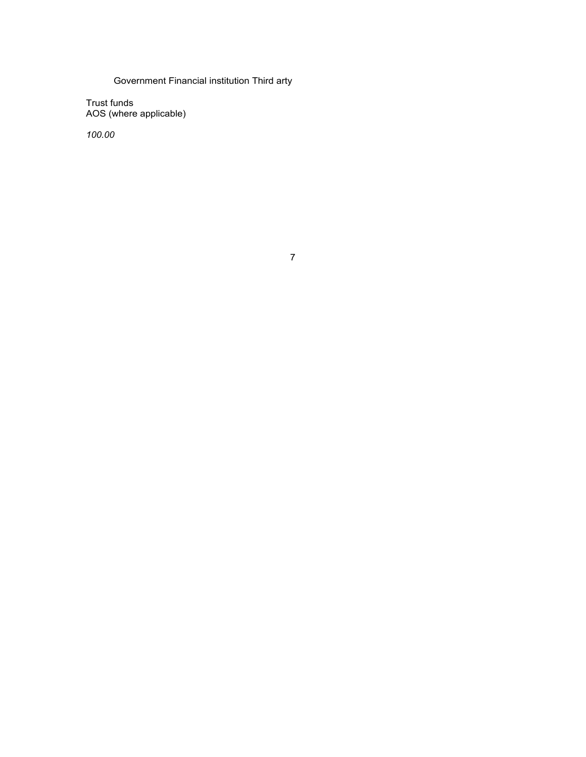# Government Financial institution Third arty

Trust funds AOS (where applicable)

*100.00*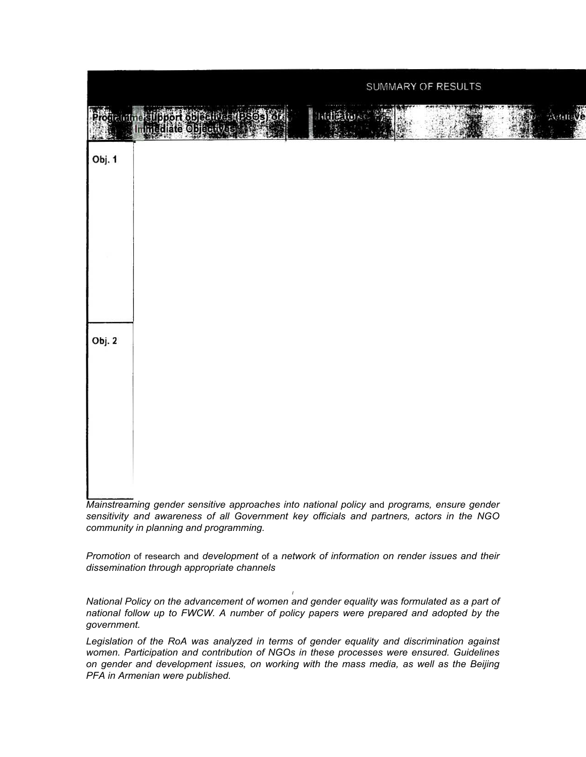

*Mainstreaming gender sensitive approaches into national policy* and *programs, ensure gender sensitivity and awareness of all Government key officials and partners, actors in the NGO community in planning and programming.*

*Promotion* of research and *development* of a *network of information on render issues and their dissemination through appropriate channels*

*I National Policy on the advancement of women and gender equality was formulated as a part of national follow up to FWCW. A number of policy papers were prepared and adopted by the government.*

*Legislation of the RoA was analyzed in terms of gender equality and discrimination against women. Participation and contribution of NGOs in these processes were ensured. Guidelines on gender and development issues, on working with the mass media, as well as the Beijing PFA in Armenian were published.*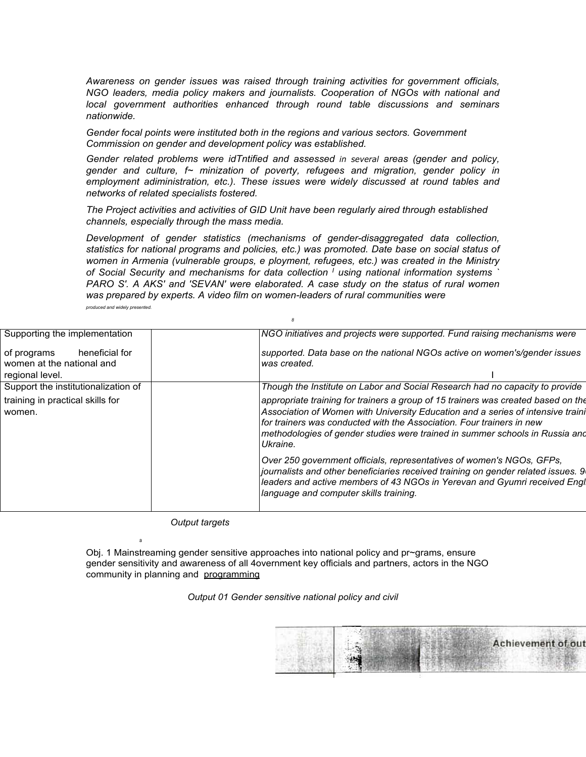*Awareness on gender issues was raised through training activities for government officials, NGO leaders, media policy makers and journalists. Cooperation of NGOs with national and local government authorities enhanced through round table discussions and seminars nationwide.*

*Gender focal points were instituted both in the regions and various sectors. Government Commission on gender and development policy was established.*

*Gender related problems were idTntified and assessed in several areas (gender and policy, gender and culture, f~ minization of poverty, refugees and migration, gender policy in employment adiministration, etc.). These issues were widely discussed at round tables and networks of related specialists fostered.*

*The Project activities and activities of GID Unit have been regularly aired through established channels, especially through the mass media.*

*Development of gender statistics (mechanisms of gender-disaggregated data collection, statistics for national programs and policies, etc.) was promoted. Date base on social status of women in Armenia (vulnerable groups, e ployment, refugees, etc.) was created in the Ministry of Social Security and mechanisms for data collection <sup>I</sup> using national information systems ` PARO S'. A AKS' and 'SEVAN' were elaborated. A case study on the status of rural women was prepared by experts. A video film on women-leaders of rural communities were produced and widely presented.*

*8*

| Supporting the implementation                                                 | NGO initiatives and projects were supported. Fund raising mechanisms were                                                                                                                                                                                                                                                                 |
|-------------------------------------------------------------------------------|-------------------------------------------------------------------------------------------------------------------------------------------------------------------------------------------------------------------------------------------------------------------------------------------------------------------------------------------|
| heneficial for<br>of programs<br>women at the national and<br>regional level. | supported. Data base on the national NGOs active on women's/gender issues<br>was created.                                                                                                                                                                                                                                                 |
| Support the institutionalization of                                           | Though the Institute on Labor and Social Research had no capacity to provide                                                                                                                                                                                                                                                              |
| training in practical skills for<br>women.                                    | appropriate training for trainers a group of 15 trainers was created based on the<br>Association of Women with University Education and a series of intensive traini<br>for trainers was conducted with the Association. Four trainers in new<br>methodologies of gender studies were trained in summer schools in Russia and<br>Ukraine. |
|                                                                               | Over 250 government officials, representatives of women's NGOs, GFPs,<br>journalists and other beneficiaries received training on gender related issues. 9<br>leaders and active members of 43 NGOs in Yerevan and Gyumri received Engl<br>language and computer skills training.                                                         |
|                                                                               |                                                                                                                                                                                                                                                                                                                                           |

*Output targets*

a

Obj. 1 Mainstreaming gender sensitive approaches into national policy and pr~grams, ensure gender sensitivity and awareness of all 4overnment key officials and partners, actors in the NGO community in planning and programming

*Output 01 Gender sensitive national policy and civil*

**Achievement of out**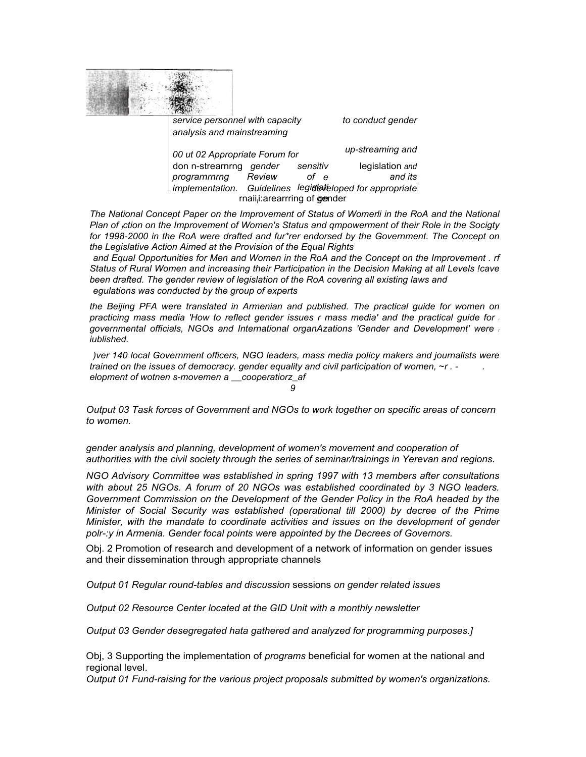

*service personnel with capacity to conduct gender analysis and mainstreaming*

| 00 ut 02 Appropriate Forum for |                                           |        |          |  | up-streaming and                          |  |
|--------------------------------|-------------------------------------------|--------|----------|--|-------------------------------------------|--|
|                                | don n-strearnrng gender                   |        | sensitiv |  | legislation and                           |  |
|                                | programmmmq                               | Review | of e     |  | and its                                   |  |
|                                | implementation.                           |        |          |  | Guidelines legidlateloped for appropriate |  |
|                                | rnaii <sub>i</sub> : arearrring of gender |        |          |  |                                           |  |

*The National Concept Paper on the Improvement of Status of Womerli in the RoA and the National Plan of <sup>I</sup>ction on the Improvement of Women's Status and qmpowerment of their Role in the Socigty for 1998-2000 in the RoA were drafted and fur\*rer endorsed by the Government. The Concept on the Legislative Action Aimed at the Provision of the Equal Rights*

*and Equal Opportunities for Men and Women in the RoA and the Concept on the Improvement . rf Status of Rural Women and increasing their Participation in the Decision Making at all Levels !cave been drafted. The gender review of legislation of the RoA covering all existing laws and egulations was conducted by the group of experts*

*the Beijing PFA were translated in Armenian and published. The practical guide for women on practicing mass media 'How to reflect gender issues r mass media' and the practical guide for <sup>r</sup> governmental officials, NGOs and International organAzations 'Gender and Development' were <sup>r</sup> iublished.*

*)ver 140 local Government officers, NGO leaders, mass media policy makers and journalists were trained on the issues of democracy. gender equality and civil participation of women, ~r . - . elopment of wotnen s-movemen a \_\_cooperatiorz\_af 9*

*Output 03 Task forces of Government and NGOs to work together on specific areas of concern to women.*

*gender analysis and planning, development of women's movement and cooperation of authorities with the civil society through the series of seminar/trainings in Yerevan and regions.*

*NGO Advisory Committee was established in spring 1997 with 13 members after consultations with about 25 NGOs. A forum of 20 NGOs was established coordinated by 3 NGO leaders. Government Commission on the Development of the Gender Policy in the RoA headed by the Minister of Social Security was established (operational till 2000) by decree of the Prime Minister, with the mandate to coordinate activities and issues on the development of gender polr-:y in Armenia. Gender focal points were appointed by the Decrees of Governors.*

Obj. 2 Promotion of research and development of a network of information on gender issues and their dissemination through appropriate channels

*Output 01 Regular round-tables and discussion* sessions *on gender related issues*

*Output 02 Resource Center located at the GID Unit with a monthly newsletter*

*Output 03 Gender desegregated hata gathered and analyzed for programming purposes.]*

Obj, 3 Supporting the implementation of *programs* beneficial for women at the national and regional level.

*Output 01 Fund-raising for the various project proposals submitted by women's organizations.*